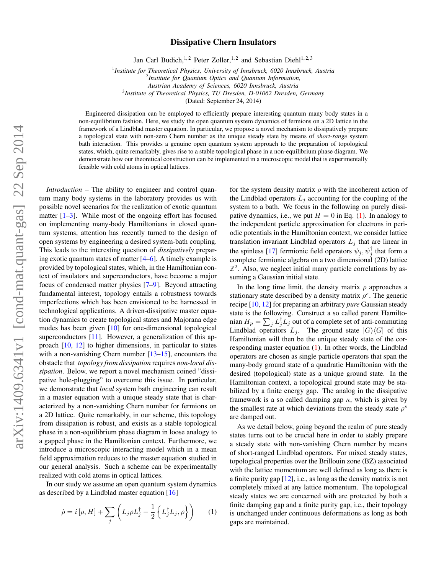## Dissipative Chern Insulators

Jan Carl Budich,<sup>1,2</sup> Peter Zoller,<sup>1,2</sup> and Sebastian Diehl<sup>1,2,3</sup>

1 *Institute for Theoretical Physics, University of Innsbruck, 6020 Innsbruck, Austria*

*Austrian Academy of Sciences, 6020 Innsbruck, Austria*

3 *Institute of Theoretical Physics, TU Dresden, D-01062 Dresden, Germany*

(Dated: September 24, 2014)

Engineered dissipation can be employed to efficiently prepare interesting quantum many body states in a non-equilibrium fashion. Here, we study the open quantum system dynamics of fermions on a 2D lattice in the framework of a Lindblad master equation. In particular, we propose a novel mechanism to dissipatively prepare a topological state with non-zero Chern number as the unique steady state by means of *short-range* system bath interaction. This provides a genuine open quantum system approach to the preparation of topological states, which, quite remarkably, gives rise to a stable topological phase in a non-equilibrium phase diagram. We demonstrate how our theoretical construction can be implemented in a microscopic model that is experimentally feasible with cold atoms in optical lattices.

*Introduction –* The ability to engineer and control quantum many body systems in the laboratory provides us with possible novel scenarios for the realization of exotic quantum matter  $[1-3]$  $[1-3]$ . While most of the ongoing effort has focused on implementing many-body Hamiltonians in closed quantum systems, attention has recently turned to the design of open systems by engineering a desired system-bath coupling. This leads to the interesting question of *dissipatively* preparing exotic quantum states of matter [\[4–](#page-5-2)[6\]](#page-5-3). A timely example is provided by topological states, which, in the Hamiltonian context of insulators and superconductors, have become a major focus of condensed matter physics [\[7](#page-5-4)[–9\]](#page-5-5). Beyond attracting fundamental interest, topology entails a robustness towards imperfections which has been envisioned to be harnessed in technological applications. A driven-dissipative master equation dynamics to create topological states and Majorana edge modes has been given [\[10\]](#page-5-6) for one-dimensional topological superconductors [\[11\]](#page-5-7). However, a generalization of this approach [\[10,](#page-5-6) [12\]](#page-5-8) to higher dimensions, in particular to states with a non-vanishing Chern number [\[13–](#page-5-9)[15\]](#page-5-10), encounters the obstacle that *topology from dissipation* requires *non-local dissipation*. Below, we report a novel mechanism coined "dissipative hole-plugging" to overcome this issue. In particular, we demonstrate that *local* system bath engineering can result in a master equation with a unique steady state that is characterized by a non-vanishing Chern number for fermions on a 2D lattice. Quite remarkably, in our scheme, this topology from dissipation is robust, and exists as a stable topological phase in a non-equilibrium phase diagram in loose analogy to a gapped phase in the Hamiltonian context. Furthermore, we introduce a microscopic interacting model which in a mean field approximation reduces to the master equation studied in our general analysis. Such a scheme can be experimentally realized with cold atoms in optical lattices.

In our study we assume an open quantum system dynamics as described by a Lindblad master equation [\[16\]](#page-5-11)

$$
\dot{\rho} = i [\rho, H] + \sum_{j} \left( L_j \rho L_j^{\dagger} - \frac{1}{2} \left\{ L_j^{\dagger} L_j, \rho \right\} \right) \tag{1}
$$

for the system density matrix  $\rho$  with the incoherent action of the Lindblad operators  $L_i$  accounting for the coupling of the system to a bath. We focus in the following on purely dissipative dynamics, i.e., we put  $H = 0$  in Eq. [\(1\)](#page-0-0). In analogy to the independent particle approximation for electrons in periodic potentials in the Hamiltonian context, we consider lattice translation invariant Lindblad operators  $L_j$  that are linear in the spinless [\[17\]](#page-5-12) fermionic field operators  $\psi_j, \psi_j^{\dagger}$  that form a complete fermionic algebra on a two dimensional (2D) lattice  $\mathbb{Z}^2$ . Also, we neglect initial many particle correlations by assuming a Gaussian initial state.

In the long time limit, the density matrix  $\rho$  approaches a stationary state described by a density matrix  $\rho^s$ . The generic recipe [\[10,](#page-5-6) [12\]](#page-5-8) for preparing an arbitrary *pure* Gaussian steady state is the following. Construct a so called parent Hamiltonian  $H_p = \sum_j L_j^{\dagger} L_j$  out of a complete set of anti-commuting Lindblad operators  $L_j$ . The ground state  $|G\rangle\langle G|$  of this Hamiltonian will then be the unique steady state of the corresponding master equation [\(1\)](#page-0-0). In other words, the Lindblad operators are chosen as single particle operators that span the many-body ground state of a quadratic Hamiltonian with the desired (topological) state as a unique ground state. In the Hamiltonian context, a topological ground state may be stabilized by a finite energy gap. The analog in the dissipative framework is a so called damping gap  $\kappa$ , which is given by the smallest rate at which deviations from the steady state  $\rho^s$ are damped out.

<span id="page-0-0"></span>As we detail below, going beyond the realm of pure steady states turns out to be crucial here in order to stably prepare a steady state with non-vanishing Chern number by means of short-ranged Lindblad operators. For mixed steady states, topological properties over the Brillouin zone (BZ) associated with the lattice momentum are well defined as long as there is a finite purity gap [\[12\]](#page-5-8), i.e., as long as the density matrix is not completely mixed at any lattice momentum. The topological steady states we are concerned with are protected by both a finite damping gap and a finite purity gap, i.e., their topology is unchanged under continuous deformations as long as both gaps are maintained.

<sup>2</sup> *Institute for Quantum Optics and Quantum Information,*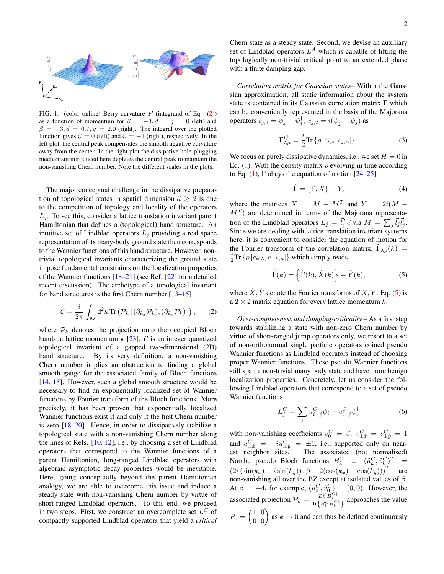

<span id="page-1-3"></span>FIG. 1. (color online) Berry curvature  $F$  (integrand of Eq. [\(2\)](#page-1-0)) as a function of momentum for  $\beta = -3, d = g = 0$  (left) and  $\beta = -3, d = 0.7, g = 2.0$  (right). The integral over the plotted function gives  $C = 0$  (left) and  $C = -1$  (right), respectively. In the left plot, the central peak compensates the smooth negative curvature away from the center. In the right plot the dissipative hole-plugging mechanism introduced here depletes the central peak to maintain the non-vanishing Chern number. Note the different scales in the plots.

The major conceptual challenge in the dissipative preparation of topological states in spatial dimension  $d \geq 2$  is due to the competition of topology and locality of the operators  $L_i$ . To see this, consider a lattice translation invariant parent Hamiltonian that defines a (topological) band structure. An intuitive set of Lindblad operators  $L_j$  providing a real space representation of its many-body ground state then corresponds to the Wannier functions of this band structure. However, nontrivial topological invariants characterizing the ground state impose fundamental constraints on the localization properties of the Wannier functions [\[18](#page-5-13)[–21\]](#page-5-14) (see Ref. [\[22\]](#page-5-15) for a detailed recent discussion). The archetype of a topological invariant for band structures is the first Chern number [\[13](#page-5-9)[–15\]](#page-5-10)

$$
\mathcal{C} = \frac{i}{2\pi} \int_{\text{BZ}} d^2k \, \text{Tr} \left( \mathcal{P}_k \left[ (\partial_{k_x} \mathcal{P}_k), (\partial_{k_y} \mathcal{P}_k) \right] \right), \qquad (2)
$$

where  $P_k$  denotes the projection onto the occupied Bloch bands at lattice momentum  $k$  [\[23\]](#page-5-16).  $C$  is an integer quantized topological invariant of a gapped two-dimensional (2D) band structure. By its very definition, a non-vanishing Chern number implies an obstruction to finding a global smooth gauge for the associated family of Bloch functions [\[14,](#page-5-17) [15\]](#page-5-10). However, such a global smooth structure would be necessary to find an exponentially localized set of Wannier functions by Fourier transform of the Bloch functions. More precisely, it has been proven that exponentially localized Wannier functions exist if and only if the first Chern number is zero [\[18](#page-5-13)[–20\]](#page-5-18). Hence, in order to dissipatively stabilize a topological state with a non-vanishing Chern number along the lines of Refs. [\[10,](#page-5-6) [12\]](#page-5-8), i.e., by choosing a set of Lindblad operators that correspond to the Wannier functions of a parent Hamiltonian, long-ranged Lindblad operators with algebraic asymptotic decay properties would be inevitable. Here, going conceptually beyond the parent Hamiltonian analogy, we are able to overcome this issue and induce a steady state with non-vanishing Chern number by virtue of short-ranged Lindblad operators. To this end, we proceed in two steps. First, we construct an overcomplete set  $L^C$  of compactly supported Lindblad operators that yield a *critical*

Chern state as a steady state. Second, we devise an auxiliary set of Lindblad operators  $L^A$  which is capable of lifting the topologically non-trivial critical point to an extended phase with a finite damping gap.

*Correlation matrix for Gaussian states–* Within the Gaussian approximation, all static information about the system state is contained in its Gaussian correlation matrix Γ which can be conveniently represented in the basis of the Majorana operators  $c_{j,1} = \psi_j + \hat{\psi}_j^{\dagger}, c_{j,2} = i(\psi_j^{\dagger} - \psi_j)$  as

$$
\Gamma_{\lambda\mu}^{ij} = \frac{i}{2} \text{Tr} \left\{ \rho \left[ c_{i,\lambda}, c_{j,\mu} \right] \right\}. \tag{3}
$$

We focus on purely dissipative dynamics, i.e., we set  $H = 0$  in Eq. [\(1\)](#page-0-0). With the density matrix  $\rho$  evolving in time according to Eq. [\(1\)](#page-0-0),  $\Gamma$  obeys the equation of motion [\[24,](#page-5-19) [25\]](#page-5-20)

$$
\dot{\Gamma} = \{\Gamma, X\} - Y,\tag{4}
$$

where the matrices  $X = M + M^T$  and  $Y = 2i(M M<sup>T</sup>$ ) are determined in terms of the Majorana representation of the Lindblad operators  $L_j = \vec{l}_j^T \vec{c}$  via  $M = \sum_j \vec{l}_j \vec{l}_j^{\dagger}$ . Since we are dealing with lattice translation invariant systems here, it is convenient to consider the equation of motion for the Fourier transform of the correlation matrix,  $\tilde{\Gamma}_{\lambda\mu}(k)$  =  $\frac{i}{2} \text{Tr} \left\{ \rho \left[ c_{k,\lambda}, c_{-k,\mu} \right] \right\}$  which simply reads

<span id="page-1-1"></span>
$$
\dot{\tilde{\Gamma}}(k) = \left\{ \tilde{\Gamma}(k), \tilde{X}(k) \right\} - \tilde{Y}(k),\tag{5}
$$

<span id="page-1-0"></span>where  $\tilde{X}$ ,  $\tilde{Y}$  denote the Fourier transforms of  $X$ ,  $Y$ . Eq. [\(5\)](#page-1-1) is a  $2 \times 2$  matrix equation for every lattice momentum k.

*Over-completeness and damping-criticality –* As a first step towards stabilizing a state with non-zero Chern number by virtue of short-ranged jump operators only, we resort to a set of non-orthonormal single particle operators coined pseudo Wannier functions as Lindblad operators instead of choosing proper Wannier functions. These pseudo Wannier functions still span a non-trivial many body state and have more benign localization properties. Concretely, let us consider the following Lindblad operators that correspond to a set of pseudo Wannier functions

<span id="page-1-2"></span>
$$
L_j^C = \sum_i u_{i-j}^C \psi_i + v_{i-j}^C \psi_i^\dagger \tag{6}
$$

with non-vanishing coefficients  $v_0^C = \beta$ ,  $v_{\pm \hat{x}}^C = v_{\pm \hat{y}}^C = 1$ and  $u_{\pm\hat{x}}^C = -iu_{\pm\hat{y}}^C = \pm 1$ , i.e., supported only on nearest neighbor sites. The associated (not normalised) Nambu pseudo Bloch functions  $B_k^C \equiv (\tilde{u}_k^C, \tilde{v}_k^C)^T =$  $(2i(\sin(k_x) + i\sin(k_y)), \beta + 2(\cos(k_x) + \cos(k_y)))^T$  are non-vanishing all over the BZ except at isolated values of  $\beta$ . At  $\beta = -4$ , for example,  $(\tilde{u}_0^C, \tilde{v}_0^C) = (0, 0)$ . However, the associated projection  $\mathcal{P}_k = \frac{B_k^C B_k^{C\dagger}}{\text{Tr}\{B_k^C B_k^{C\dagger}\}}$  approaches the value  $P_0 = \begin{pmatrix} 1 & 0 \\ 0 & 0 \end{pmatrix}$  as  $k \to 0$  and can thus be defined continuously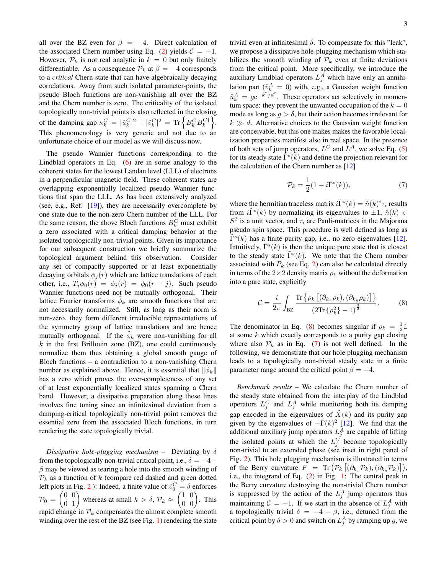all over the BZ even for  $\beta = -4$ . Direct calculation of the associated Chern number using Eq. [\(2\)](#page-1-0) yields  $C = -1$ . However,  $P_k$  is not real analytic in  $k = 0$  but only finitely differentiable. As a consequence  $\mathcal{P}_k$  at  $\beta = -4$  corresponds to a *critical* Chern-state that can have algebraically decaying correlations. Away from such isolated parameter-points, the pseudo Bloch functions are non-vanishing all over the BZ and the Chern number is zero. The criticality of the isolated topologically non-trivial points is also reflected in the closing of the damping gap  $\kappa_k^C = |\tilde{u}_k^C|^2 + |\tilde{v}_k^C|^2 = \text{Tr}\left\{B_k^C B_k^{C\dagger}\right\}.$ This phenomenology is very generic and not due to an unfortunate choice of our model as we will discuss now.

The pseudo Wannier functions corresponding to the Lindblad operators in Eq.  $(6)$  are in some analogy to the coherent states for the lowest Landau level (LLL) of electrons in a perpendicular magnetic field. These coherent states are overlapping exponentially localized pseudo Wannier functions that span the LLL. As has been extensively analyzed (see, e.g., Ref. [\[19\]](#page-5-21)), they are necessarily overcomplete by one state due to the non-zero Chern number of the LLL. For the same reason, the above Bloch functions  $B_k^C$  must exhibit a zero associated with a critical damping behavior at the isolated topologically non-trivial points. Given its importance for our subsequent construction we briefly summarize the topological argument behind this observation. Consider any set of compactly supported or at least exponentially decaying orbitals  $\phi_i(r)$  which are lattice translations of each other, i.e.,  $T_i \phi_0(r) = \phi_i(r) = \phi_0(r - j)$ . Such pseudo Wannier functions need not be mutually orthogonal. Their lattice Fourier transforms  $\phi_k$  are smooth functions that are not necessarily normalized. Still, as long as their norm is non-zero, they form different irreducible representations of the symmetry group of lattice translations and are hence mutually orthogonal. If the  $\tilde{\phi}_k$  were non-vanishing for all  $k$  in the first Brillouin zone (BZ), one could continuously normalize them thus obtaining a global smooth gauge of Bloch functions – a contradiction to a non-vanishing Chern number as explained above. Hence, it is essential that  $\|\tilde{\phi}_k\|$ has a zero which proves the over-completeness of any set of at least exponentially localized states spanning a Chern band. However, a dissipative preparation along these lines involves fine tuning since an infinitesimal deviation from a damping-critical topologically non-trivial point removes the essential zero from the associated Bloch functions, in turn rendering the state topologically trivial.

*Dissipative hole-plugging mechanism –* Deviating by δ from the topologically non-trivial critical point, i.e.,  $\delta = -4 \beta$  may be viewed as tearing a hole into the smooth winding of  $P_k$  as a function of k (compare red dashed and green dotted left plots in Fig. [2](#page-3-0) ): Indeed, a finite value of  $\tilde{v}_0^C = \delta$  enforces  $\mathcal{P}_0 = \begin{pmatrix} 0 & 0 \\ 0 & 1 \end{pmatrix}$  whereas at small  $k > \delta$ ,  $\mathcal{P}_k \approx \begin{pmatrix} 1 & 0 \\ 0 & 0 \end{pmatrix}$ . This rapid change in  $P_k$  compensates the almost complete smooth winding over the rest of the BZ (see Fig. [1\)](#page-1-3) rendering the state

trivial even at infinitesimal  $\delta$ . To compensate for this "leak", we propose a dissipative hole-plugging mechanism which stabilizes the smooth winding of  $\mathcal{P}_k$  even at finite deviations from the critical point. More specifically, we introduce the auxiliary Lindblad operators  $L_j^A$  which have only an annihilation part ( $\tilde{v}_{k}^{A} = 0$ ) with, e.g., a Gaussian weight function  $\tilde{u}_k^A = g e^{-k^2/d^2}$ . These operators act selectively in momentum space: they prevent the unwanted occupation of the  $k = 0$ mode as long as  $q > \delta$ , but their action becomes irrelevant for  $k \gg d$ . Alternative choices to the Gaussian weight function are conceivable, but this one makes makes the favorable localization properties manifest also in real space. In the presence of both sets of jump operators,  $L^C$  and  $L^A$ , we solve Eq. [\(5\)](#page-1-1) for its steady state  $\tilde{\Gamma}^s(\tilde{k})$  and define the projection relevant for the calculation of the Chern number as [\[12\]](#page-5-8)

<span id="page-2-1"></span>
$$
\mathcal{P}_k = \frac{1}{2} (1 - i\bar{\Gamma}^s(k)),\tag{7}
$$

where the hermitian traceless matrix  $i\bar{\Gamma}^s(k) = \hat{n}(k)^i \tau_i$  results from  $i\tilde{\Gamma}^s(k)$  by normalizing its eigenvalues to  $\pm 1$ ,  $\hat{n}(k) \in$  $S<sup>2</sup>$  is a unit vector, and  $\tau_i$  are Pauli-matrices in the Majorana pseudo spin space. This procedure is well defined as long as  $\tilde{\Gamma}^s(k)$  has a finite purity gap, i.e., no zero eigenvalues [\[12\]](#page-5-8). Intuitively,  $\bar{\Gamma}^s(k)$  is then the unique pure state that is closest to the steady state  $\tilde{\Gamma}^s(k)$ . We note that the Chern number associated with  $P_k$  (see Eq. [2\)](#page-1-0) can also be calculated directly in terms of the  $2\times 2$  density matrix  $\rho_k$  without the deformation into a pure state, explicitly

<span id="page-2-0"></span>
$$
\mathcal{C} = \frac{i}{2\pi} \int_{\text{BZ}} \frac{\text{Tr}\left\{\rho_k \left[ (\partial_{k_x} \rho_k), (\partial_{k_y} \rho_k) \right] \right\}}{\left(2\text{Tr}\left\{\rho_k^2\right\} - 1\right)^{\frac{3}{2}}}.
$$
 (8)

The denominator in Eq. [\(8\)](#page-2-0) becomes singular if  $\rho_k = \frac{1}{2} \mathbb{1}$ at some  $k$  which exactly corresponds to a purity gap closing where also  $P_k$  as in Eq. [\(7\)](#page-2-1) is not well defined. In the following, we demonstrate that our hole plugging mechanism leads to a topologically non-trivial steady state in a finite parameter range around the critical point  $\beta = -4$ .

*Benchmark results –* We calculate the Chern number of the steady state obtained from the interplay of the Lindblad operators  $L_j^C$  and  $L_j^A$  while monitoring both its damping gap encoded in the eigenvalues of  $\tilde{X}(k)$  and its purity gap given by the eigenvalues of  $-\tilde{\Gamma}(k)^2$  [\[12\]](#page-5-8). We find that the additional auxiliary jump operators  $L_j^A$  are capable of lifting the isolated points at which the  $L_j^C$  become topologically non-trivial to an extended phase (see inset in right panel of Fig. [2\)](#page-3-0). This hole plugging mechanism is illustrated in terms of the Berry curvature  $F = \text{Tr} \left( \mathcal{P}_k \left[ (\partial_{k_x} \mathcal{P}_k), (\partial_{k_y} \mathcal{P}_k) \right] \right),$ i.e., the integrand of Eq. [\(2\)](#page-1-0) in Fig. [1:](#page-1-3) The central peak in the Berry curvature destroying the non-trivial Chern number is suppressed by the action of the  $L_j^A$  jump operators thus maintaining  $C = -1$ . If we start in the absence of  $L_j^A$  with a topologically trivial  $\delta = -4 - \beta$ , i.e., detuned from the critical point by  $\delta > 0$  and switch on  $L_j^A$  by ramping up g, we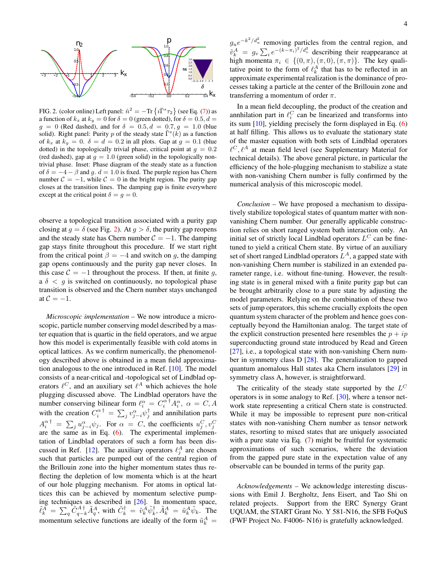

<span id="page-3-0"></span>FIG. 2. (color online) Left panel:  $\hat{n}^2 = -\text{Tr}\left\{i\bar{\Gamma}^s\tau_2\right\}$  (see Eq. [\(7\)](#page-2-1)) as a function of  $k_x$  at  $k_y = 0$  for  $\delta = 0$  (green dotted), for  $\delta = 0.5, d = 0$  $g = 0$  (Red dashed), and for  $\delta = 0.5, d = 0.7, g = 1.0$  (blue solid). Right panel: Purity p of the steady state  $\tilde{\Gamma}^s(k)$  as a function of  $k_x$  at  $k_y = 0$ .  $\delta = d = 0.2$  in all plots. Gap at  $g = 0.1$  (blue dotted) in the topologically trivial phase, critical point at  $q = 0.2$ (red dashed), gap at  $q = 1.0$  (green solid) in the topologically nontrivial phase. Inset: Phase diagram of the steady state as a function of  $\delta = -4 - \beta$  and g.  $d = 1.0$  is fixed. The purple region has Chern number  $C = -1$ , while  $C = 0$  in the bright region. The purity gap closes at the transition lines. The damping gap is finite everywhere except at the critical point  $\delta = g = 0$ .

observe a topological transition associated with a purity gap closing at  $q = \delta$  (see Fig. [2\)](#page-3-0). At  $q > \delta$ , the purity gap reopens and the steady state has Chern number  $C = -1$ . The damping gap stays finite throughout this procedure. If we start right from the critical point  $\beta = -4$  and switch on g, the damping gap opens continuously and the purity gap never closes. In this case  $C = -1$  throughout the process. If then, at finite q, a  $\delta$  < q is switched on continuously, no topological phase transition is observed and the Chern number stays unchanged at  $C = -1$ .

*Microscopic implementation –* We now introduce a microscopic, particle number conserving model described by a master equation that is quartic in the field operators, and we argue how this model is experimentally feasible with cold atoms in optical lattices. As we confirm numerically, the phenomenology described above is obtained in a mean field approximation analogous to the one introduced in Ref. [\[10\]](#page-5-6). The model consists of a near-critical and -topological set of Lindblad operators  $\ell^C$ , and an auxiliary set  $\ell^A$  which achieves the hole plugging discussed above. The Lindblad operators have the number conserving bilinear form  $\ell_i^{\alpha} = C_i^{\alpha^{\dagger}} A_i^{\alpha}, \ \alpha = C, A$ with the creation  $C_i^{\alpha \dagger} = \sum_j v_{j-i}^{\alpha} \psi_j^{\dagger}$  and annihilation parts  $A_i^{\alpha \dagger} = \sum_j u_{j-i}^{\alpha} \psi_j$ . For  $\alpha = C$ , the coefficients  $u_j^C, v_j^C$  are the same as in Eq. [\(6\)](#page-1-2). The experimental implementation of Lindblad operators of such a form has been dis-cussed in Ref. [\[12\]](#page-5-8). The auxiliary operators  $\ell_j^A$  are chosen such that particles are pumped out of the central region of the Brillouin zone into the higher momentum states thus reflecting the depletion of low momenta which is at the heart of our hole plugging mechanism. For atoms in optical lattices this can be achieved by momentum selective pumping techniques as described in [\[26\]](#page-5-22). In momentum space,  $\tilde{\ell}_{k}^{\tilde{A}} = \sum_{q} \tilde{C}_{q-k}^{A \dagger} \tilde{A}_{q}^{A}$ , with  $\tilde{C}_{k}^{\dagger} = \tilde{v}_{k}^{\tilde{A}} \tilde{\psi}_{k}^{\dagger}, \tilde{A}_{k}^{A} = \tilde{u}_{k}^{A} \tilde{\psi}_{k}$ . The momentum selective functions are ideally of the form  $\tilde{u}_k^A$  =

 $g_u e^{-k^2/d_u^2}$  removing particles from the central region, and  $\tilde{v}_k^A = g_v \sum_i e^{-(k-\pi_i)^2/d_v^2}$  describing their reappearance at high momenta  $\pi_i \in \{(0, \pi), (\pi, 0), (\pi, \pi)\}\.$  The key qualitative point to the form of  $\ell_k^A$  that has to be reflected in an approximate experimental realization is the dominance of processes taking a particle at the center of the Brillouin zone and transferring a momentum of order  $\pi$ .

In a mean field decoupling, the product of the creation and annhilation part in  $\ell_i^C$  can be linearized and transforms into its sum [\[10\]](#page-5-6), yielding precisely the form displayed in Eq. [\(6\)](#page-1-2) at half filling. This allows us to evaluate the stationary state of the master equation with both sets of Lindblad operators  $\ell^C, \ell^A$  at mean field level (see Supplementary Material for technical details). The above general picture, in particular the efficiency of the hole-plugging mechanism to stabilize a state with non-vanishing Chern number is fully confirmed by the numerical analysis of this microscopic model.

*Conclusion –* We have proposed a mechanism to dissipatively stabilize topological states of quantum matter with nonvanishing Chern number. Our generally applicable construction relies on short ranged system bath interaction only. An initial set of strictly local Lindblad operators  $L^C$  can be finetuned to yield a critical Chern state. By virtue of an auxiliary set of short ranged Lindblad operators  $L^A$ , a gapped state with non-vanishing Chern number is stabilized in an extended parameter range, i.e. without fine-tuning. However, the resulting state is in general mixed with a finite purity gap but can be brought arbitrarily close to a pure state by adjusting the model parameters. Relying on the combination of these two sets of jump operators, this scheme crucially exploits the open quantum system character of the problem and hence goes conceptually beyond the Hamiltonian analog. The target state of the explicit construction presented here resembles the  $p + ip$ superconducting ground state introduced by Read and Green [\[27\]](#page-5-23), i.e., a topological state with non-vanishing Chern number in symmetry class D [\[28\]](#page-5-24). The generalization to gapped quantum anomalous Hall states aka Chern insulators [\[29\]](#page-5-25) in symmetry class A, however, is straightforward.

The criticality of the steady state supported by the  $L^C$ operators is in some analogy to Ref. [\[30\]](#page-5-26), where a tensor network state representing a critical Chern state is constructed. While it may be impossible to represent pure non-critical states with non-vanishing Chern number as tensor network states, resorting to mixed states that are uniquely associated with a pure state via Eq. [\(7\)](#page-2-1) might be fruitful for systematic approximations of such scenarios, where the deviation from the gapped pure state in the expectation value of any observable can be bounded in terms of the purity gap.

*Acknowledgements –* We acknowledge interesting discussions with Emil J. Bergholtz, Jens Eisert, and Tao Shi on related projects. Support from the ERC Synergy Grant UQUAM, the START Grant No. Y 581-N16, the SFB FoQuS (FWF Project No. F4006- N16) is gratefully acknowledged.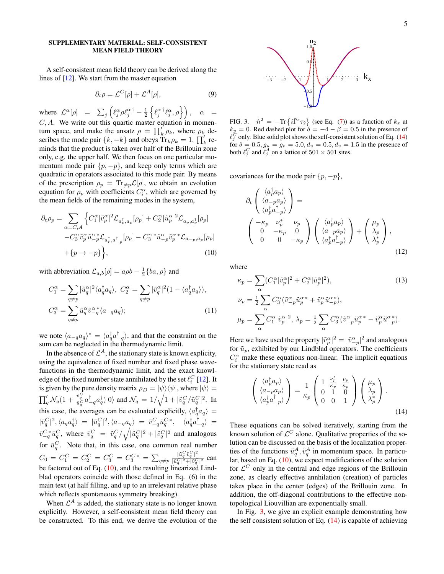## SUPPLEMENTARY MATERIAL: SELF-CONSISTENT MEAN FIELD THEORY

A self-consistent mean field theory can be derived along the lines of [\[12\]](#page-5-8). We start from the master equation

$$
\partial_t \rho = \mathcal{L}^C[\rho] + \mathcal{L}^A[\rho],\tag{9}
$$

where  $\mathcal{L}^{\alpha}[\rho] = \sum_{j} \left( \ell_j^{\alpha} \rho \ell_j^{\alpha}^{\dagger} - \frac{1}{2} \left\{ \ell_j^{\alpha}^{\dagger} \ell_j^{\alpha}, \rho \right\} \right), \alpha =$  $C, A$ . We write out this quartic master equation in momentum space, and make the ansatz  $\rho = \prod_k' \rho_k$ , where  $\rho_k$  describes the mode pair  $\{k, -k\}$  and obeys  $\text{Tr}_k \hat{\rho}_k = 1$ .  $\prod_k^{\prime}$  reminds that the product is taken over half of the Brillouin zone only, e.g. the upper half. We then focus on one particular momentum mode pair  $\{p, -p\}$ , and keep only terms which are quadratic in operators associated to this mode pair. By means of the prescription  $\rho_p = \text{Tr}_{\neq p} \mathcal{L}[\rho]$ , we obtain an evolution equation for  $\rho_p$  with coefficients  $C_i^{\alpha}$ , which are governed by the mean fields of the remaining modes in the system,

<span id="page-4-0"></span>
$$
\partial_t \rho_p = \sum_{\alpha = C, A} \left\{ C_1^{\alpha} |\tilde{v}_p^{\alpha}|^2 \mathcal{L}_{a_p^{\dagger}, a_p} [\rho_p] + C_2^{\alpha} |\tilde{u}_p^{\alpha}|^2 \mathcal{L}_{a_p, a_p^{\dagger}} [\rho_p] - C_3^{\alpha} \tilde{v}_p^{\alpha} \tilde{u}_{-p}^{\alpha} \mathcal{L}_{a_p^{\dagger}, a_{-p}^{\dagger}} [\rho_p] - C_3^{\alpha} \tilde{u}_{-p}^{\alpha} \tilde{v}_p^{\alpha} \mathcal{L}_{a_{-p}, a_p} [\rho_p] + \{p \to -p\} \right\},
$$
\n(10)

with abbreviation  $\mathcal{L}_{a,b}[\rho] = a \rho b - \frac{1}{2} \{ ba, \rho \}$  and

$$
C_1^{\alpha} = \sum_{q \neq p} |\tilde{u}_q^{\alpha}|^2 \langle a_q^{\dagger} a_q \rangle, \ C_2^{\alpha} = \sum_{q \neq p} |\tilde{v}_q^{\alpha}|^2 (1 - \langle a_q^{\dagger} a_q \rangle),
$$
  

$$
C_3^{\alpha} = \sum_{q \neq p} \tilde{u}_q^{\alpha} \tilde{v}_{-q}^{\alpha} \langle a_{-q} a_q \rangle;
$$
 (11)

we note  $\langle a_{-q}a_q \rangle^* = \langle a_q^{\dagger} a_{-q}^{\dagger} \rangle$ , and that the constraint on the sum can be neglected in the thermodynamic limit.

In the absence of  $\mathcal{L}^A$ , the stationary state is known explicity, using the equivalence of fixed number and fixed phase wavefunctions in the thermodynamic limit, and the exact knowledge of the fixed number state annihilated by the set  $\ell_i^C$  [\[12\]](#page-5-8). It Eige of the fixed number state annihilated by the set  $\ell_i$  [12]. It is given by the pure density matrix  $\rho_D = |\psi\rangle\langle\psi|$ , where  $|\psi\rangle =$  $\prod'_q\mathcal{N}_q(1+\frac{\tilde{v}_q^C}{\tilde{u}_q^C}a^\dagger_{-q}a^\dagger_q)|0\rangle$  and  $\mathcal{N}_q\,=\,1/\sqrt{1+|\tilde{v}_q^C/\tilde{u}_q^C|^2}.$  In this case, the averages can be evaluated explicitly,  $\langle a_q^{\dagger} a_q \rangle =$  $|\bar{v}_q^C|^2, \langle a_q a_q^{\dagger} \rangle = |\bar{u}_q^C|^2, \langle a_{-q} a_q \rangle = \bar{v}_{-q}^C \bar{u}_q^{C*}, \quad \langle a_q^{\dagger} a_{-q}^{\dagger} \rangle =$  $\bar{v}^C - q \bar{u}^C_q$ , where  $\bar{v}^C_q = \tilde{v}^C_q / \sqrt{|\tilde{u}^C_q|^2 + |\tilde{v}^C_q|^2}$  and analogous for  $\bar{u}_q^C$ . Note that, in this case, one common real number  $C_0 = C_1^C = C_2^C = C_3^C = C_3^{C*} = \sum_{q \neq p}$  $|\tilde{u}_q^C \tilde{v}_q^C|^2$  $\frac{u_q}{|\tilde{u}_q^C|^2+|\tilde{v}_q^C|^2}$  can be factored out of Eq. [\(10\)](#page-4-0), and the resulting linearized Lindblad operators coincide with those defined in Eq. (6) in the main text (at half filling, and up to an irrelevant relative phase which reflects spontaneous symmetry breaking).

When  $\mathcal{L}^A$  is added, the stationary state is no longer known explicitly. However, a self-consistent mean field theory can be constructed. To this end, we derive the evolution of the



<span id="page-4-2"></span>FIG. 3.  $\hat{n}^2 = -\text{Tr}\left\{i\bar{\Gamma}^s\tau_2\right\}$  (see Eq. [\(7\)](#page-2-1)) as a function of  $k_x$  at  $k_y = 0$ . Red dashed plot for  $\delta = -4 - \beta = 0.5$  in the presence of  $\ell_j^C$  only. Blue solid plot shows the self-consistent solution of Eq. [\(14\)](#page-4-1) for  $\delta = 0.5, g_u = g_v = 5.0, d_u = 0.5, d_v = 1.5$  in the presence of both  $\ell_j^C$  and  $\ell_j^A$  on a lattice of  $501 \times 501$  sites.

covariances for the mode pair  $\{p, -p\}$ ,

$$
\partial_t \begin{pmatrix} \langle a_p^{\dagger} a_p \rangle \\ \langle a_{-p} a_p \rangle \\ \langle a_p^{\dagger} a_{-p}^{\dagger} \rangle \end{pmatrix} = \begin{pmatrix} \langle a_p^{\dagger} a_p \rangle \\ \langle a_p^{\dagger} a_{-p}^{\dagger} \rangle \\ 0 & -\kappa_p & 0 \\ 0 & 0 & -\kappa_p \end{pmatrix} \begin{pmatrix} \langle a_p^{\dagger} a_p \rangle \\ \langle a_{-p} a_p \rangle \\ \langle a_p^{\dagger} a_{-p}^{\dagger} \rangle \end{pmatrix} + \begin{pmatrix} \mu_p \\ \lambda_p \\ \lambda_p^* \end{pmatrix},
$$
\n(12)

where

$$
\kappa_p = \sum_{\alpha} (C_1^{\alpha} |\tilde{v}_p^{\alpha}|^2 + C_2^{\alpha} |\tilde{u}_p^{\alpha}|^2),
$$
\n
$$
\nu_p = \frac{1}{2} \sum_{\alpha} C_3^{\alpha} (\tilde{v}_{-p}^{\alpha} \tilde{u}_p^{\alpha} + \tilde{v}_p^{\alpha} \tilde{u}_{-p}^{\alpha}),
$$
\n
$$
\mu_p = \sum_{\alpha} C_1^{\alpha} |\tilde{v}_p^{\alpha}|^2, \lambda_p = \frac{1}{2} \sum_{\alpha} C_3^{\alpha} (\tilde{v}_{-p}^{\alpha} \tilde{u}_p^{\alpha} - \tilde{v}_p^{\alpha} \tilde{u}_{-p}^{\alpha}).
$$
\n(13)

Here we have used the property  $|\tilde{v}_p^{\alpha}|^2 = |\tilde{v}_{-p}^{\alpha}|^2$  and analogous for  $\tilde{u}_p$ , exhibited by our Lindblad operators. The coefficients  $C_i^{\alpha}$  make these equations non-linear. The implicit equations for the stationary state read as

<span id="page-4-1"></span>
$$
\begin{pmatrix}\n\langle a_p^{\dagger} a_p \rangle \\
\langle a_{-p} a_p \rangle \\
\langle a_p^{\dagger} a_{-p}^{\dagger} \rangle\n\end{pmatrix} = \frac{1}{\kappa_p} \begin{pmatrix}\n1 & \frac{\nu_p^*}{\kappa_p} & \frac{\nu_p}{\kappa_p} \\
0 & 1 & 0 \\
0 & 0 & 1\n\end{pmatrix} \begin{pmatrix}\n\mu_p \\
\lambda_p \\
\lambda_p^*\n\end{pmatrix}.
$$
\n(14)

These equations can be solved iteratively, starting from the known solution of  $\mathcal{L}^C$  alone. Qualitative properties of the solution can be discussed on the basis of the localization properties of the functions  $\tilde{u}_q^A, \tilde{v}_q^A$  in momentum space. In particular, based on Eq.  $(10)$ , we expect modifications of the solution for  $\mathcal{L}^C$  only in the central and edge regions of the Brillouin zone, as clearly effective annhilation (creation) of particles takes place in the center (edges) of the Brillouin zone. In addition, the off-diagonal contributions to the effective nontopological Liouvillian are exponentially small.

In Fig. [3,](#page-4-2) we give an explicit example demonstrating how the self consistent solution of Eq. [\(14\)](#page-4-1) is capable of achieving